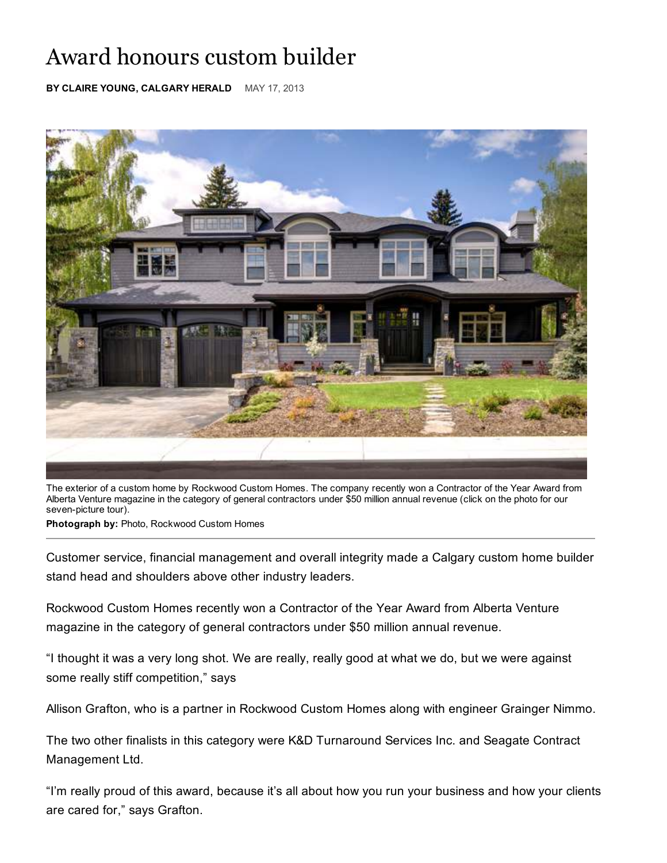## Award honours custom builder

**BY CLAIRE YOUNG, CALGARY HERALD** MAY 17, 2013



The exterior of a custom home by Rockwood Custom Homes. The company recently won a Contractor of the Year Award from Alberta Venture magazine in the category of general contractors under \$50 million annual revenue (click on the photo for our seven-picture tour).

**Photograph by:** Photo, Rockwood Custom Homes

Customer service, financial management and overall integrity made a Calgary custom home builder stand head and shoulders above other industry leaders.

Rockwood Custom Homes recently won a Contractor of the Year Award from Alberta Venture magazine in the category of general contractors under \$50 million annual revenue.

"I thought it was a very long shot. We are really, really good at what we do, but we were against some really stiff competition," says

Allison Grafton, who is a partner in Rockwood Custom Homes along with engineer Grainger Nimmo.

The two other finalists in this category were K&D Turnaround Services Inc. and Seagate Contract Management Ltd.

"I'm really proud of this award, because it's all about how you run your business and how your clients are cared for," says Grafton.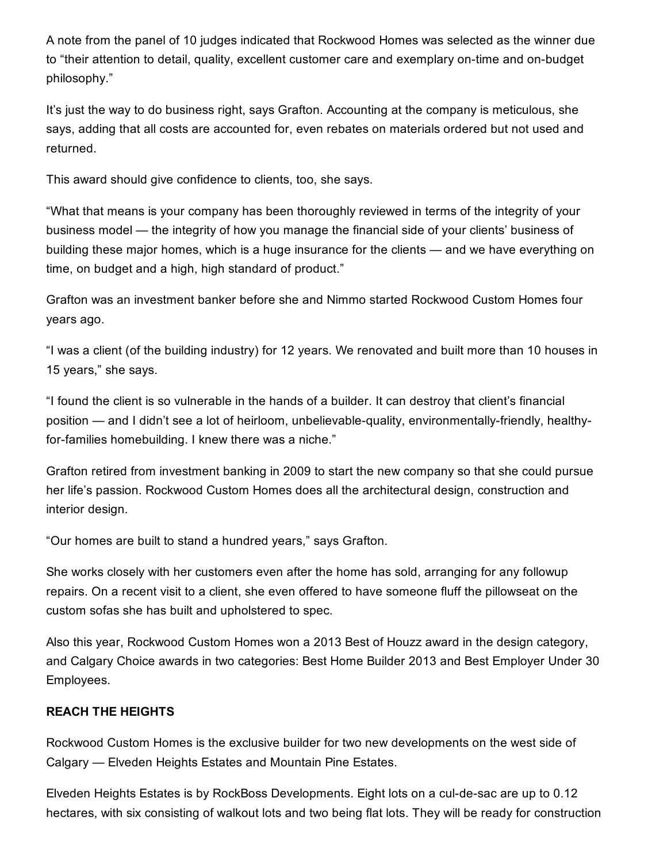A note from the panel of 10 judges indicated that Rockwood Homes was selected as the winner due to "their attention to detail, quality, excellent customer care and exemplary on-time and on-budget philosophy."

It's just the way to do business right, says Grafton. Accounting at the company is meticulous, she says, adding that all costs are accounted for, even rebates on materials ordered but not used and returned.

This award should give confidence to clients, too, she says.

"What that means is your company has been thoroughly reviewed in terms of the integrity of your business model — the integrity of how you manage the financial side of your clients' business of building these major homes, which is a huge insurance for the clients — and we have everything on time, on budget and a high, high standard of product."

Grafton was an investment banker before she and Nimmo started Rockwood Custom Homes four years ago.

"I was a client (of the building industry) for 12 years. We renovated and built more than 10 houses in 15 years," she says.

"I found the client is so vulnerable in the hands of a builder. It can destroy that client's financial position — and I didn't see a lot of heirloom, unbelievable-quality, environmentally-friendly, healthyfor-families homebuilding. I knew there was a niche."

Grafton retired from investment banking in 2009 to start the new company so that she could pursue her life's passion. Rockwood Custom Homes does all the architectural design, construction and interior design.

"Our homes are built to stand a hundred years," says Grafton.

She works closely with her customers even after the home has sold, arranging for any followup repairs. On a recent visit to a client, she even offered to have someone fluff the pillowseat on the custom sofas she has built and upholstered to spec.

Also this year, Rockwood Custom Homes won a 2013 Best of Houzz award in the design category, and Calgary Choice awards in two categories: Best Home Builder 2013 and Best Employer Under 30 Employees.

## **REACH THE HEIGHTS**

Rockwood Custom Homes is the exclusive builder for two new developments on the west side of Calgary — Elveden Heights Estates and Mountain Pine Estates.

Elveden Heights Estates is by RockBoss Developments. Eight lots on a cul-de-sac are up to 0.12 hectares, with six consisting of walkout lots and two being flat lots. They will be ready for construction